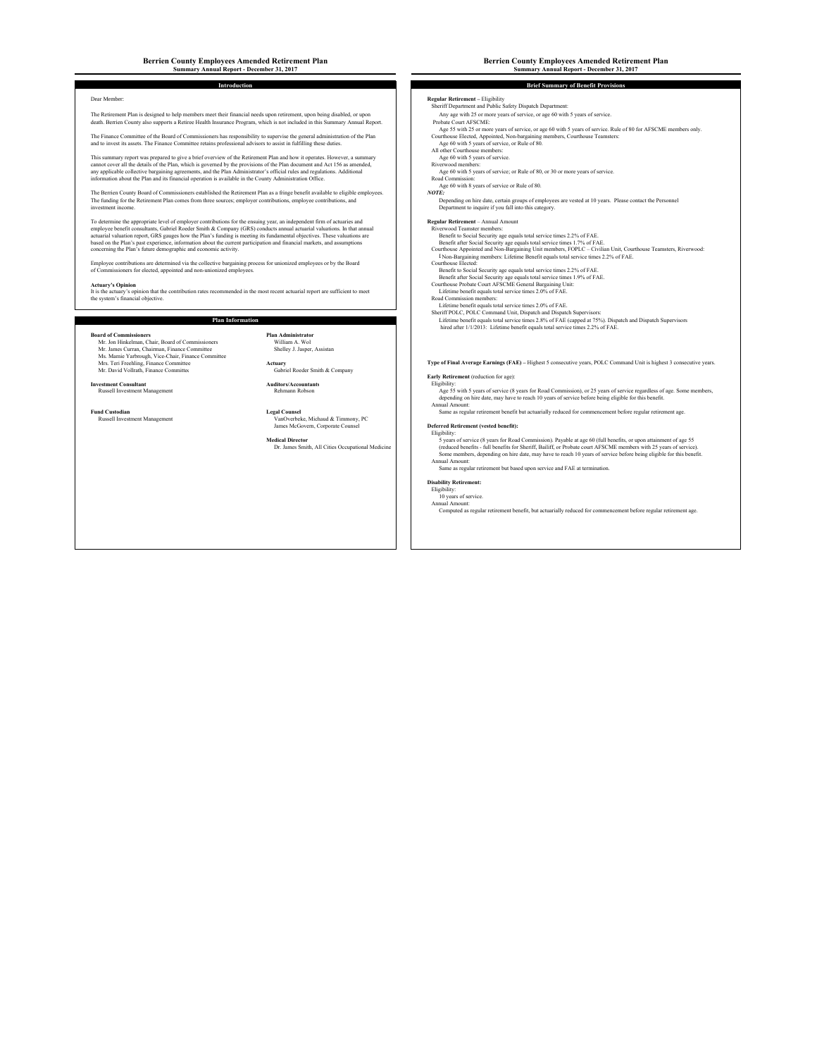## **Berrien County Employees Amended Retirement Plan Berrien County Employees Amended Retirement Plan Summary Annual Report - December 31, 2017 Summary Annual Report - December 31, 2017**

The Retirement Plan is designed to help members meet their financial needs upon retirement, upon being disabled, or upon any age with 25 or more years of service, or age 60 with 5 years of service.<br>
Any age with 25 or more death. Berrien County also supports a Retiree Health Insurance Program, which is not included in this Summary Annual Report.

The Finance Committee of the Board of Commits of Commits of the Section of the Plance of the Plance Commits of the Plance Commits of the Plance Commits of the Plance Commit of the Plance Committee of the Section of the Pla

This summary report was prequed to give a betto except the externeus Plan and how it operates. However, a summary of the Plan decompand and the Secondal of the Secondal of the Secondal of the Secondal of the Secondal of th

The Berrien County Board of Commissioners established the Retirement Plan as a fringe benefit available to eligible employees.<br>The funding for the Retirement Plan comes from three sources; employer contributions, employee

To determine the suppropriate the offered in the comparison of the comparison of the state of the state of the state of the state of the state of the state of the state of the state of the state of the state of the state o

Employee contributions are determined via the collective bargaining process for unionized employees or by the Board<br>of Commissioners for elected, appointed and non-unionized employees.

**Actuary's Opinion**<br>It is the actuary's opinion that the contribution rates recommended in the most recent actuarial report are sufficient to meet<br>The inte actuary's opinion that such contribution rates recommended in the

### **Plan Information**

Beard of Commissioners<br>Mar John Hinkelman, Chair, Board of Commissioners<br>Mr. James Curran, Chairman, Finance Committee<br>Mr. James Carlo, Shelley J. Jasper, Assistan<br>Ms. Mamie Yarbrough, Vice-Chair, Finance Committee Mr. David Vollrath, Finance Committee

# **Investment Consultant**

an Administrator<br>William A. Wol<br>Shelley J. Jasper, Assistan

Actuary<br>Gabriel Roeder Smith & Company **Auditors/Accountants**

Russell Investment Management **Management Deferred Retirement** (verbeke, Michaud & Timmony, PC and Deferred Retirement (vested benefit):

**Introduction Brief Summary of Benefit Provisions**

Dear Member: **Regular Retirement – Eligibility Constant Regular Retirement – Eligibility Sheriff Department: Eligibility Safety Dispatch Department: 
<b>Regular Retirement and Public Safety Dispatch Department:** 

- 
- Age 55 with 25 or more years of service, or age 60 with 5 years of service. Rule of 80 for AFSCME members only.
- 
- All other Courthouse members:
- 
- 

Age 60 with 8 years of service or Rule of 80.<br>NOTE:

- 
- 
- concerning the Plan's future demographic and conomic activity.<br>
1990 Month Data and Monday Appointed and Monday Appointed and Monday Appointed and Monday Appointed and Mon<br>
2006 Hotel Monday School (New York Camp of Th
	-
	-
	- Benefit after Social Security age equals total service times 1.9% of FAE. Courthouse Probate Court AFSCME General Bargaining Unit:
	-
	-
	-

Lifetime benefit equals total service times 2.0% of FAE.<br>Sheriff POLC, POLC Command Unit, Dispatch and Dispatch Supervisors:<br>Lifetime benefit equals total service times 2.8% of FAE (capped at 75%). Dispatch and Dispatch Su

### Type of Final Average Earnings (FAE) – Highest 5 consecutive years, POLC Command Unit is highest 3 consecutive years.

### **Early Retirement** (reduction for age):

Nuvestment Consultant<br>
Russell Investment Management<br>
Russell Investment Management<br>
Russell Investment Management<br>
Russell Investment Management Management<br>
Legal Counsel<br>
Legal Counsel<br>
Legal Counsel<br>
Legal Counsel<br>
Lega

**Medical Director**<br>
Dr. James Smith, All Cities Occupational Medicine<br>
Dr. James Smith, All Cities Occupational Medicine<br>
Syears of service 8 (featured benefits - full benefits for Sheriff, Bailiff, or Probate court AFSCME

Same as regular retirement but based upon service and FAE at termination.

# **Disability Retirement:**<br>
Eligibility:<br>
10 years of service.<br>
Annual Amount:

Computed as regular retirement benefit, but actuarially reduced for commencement before regular retirement age.